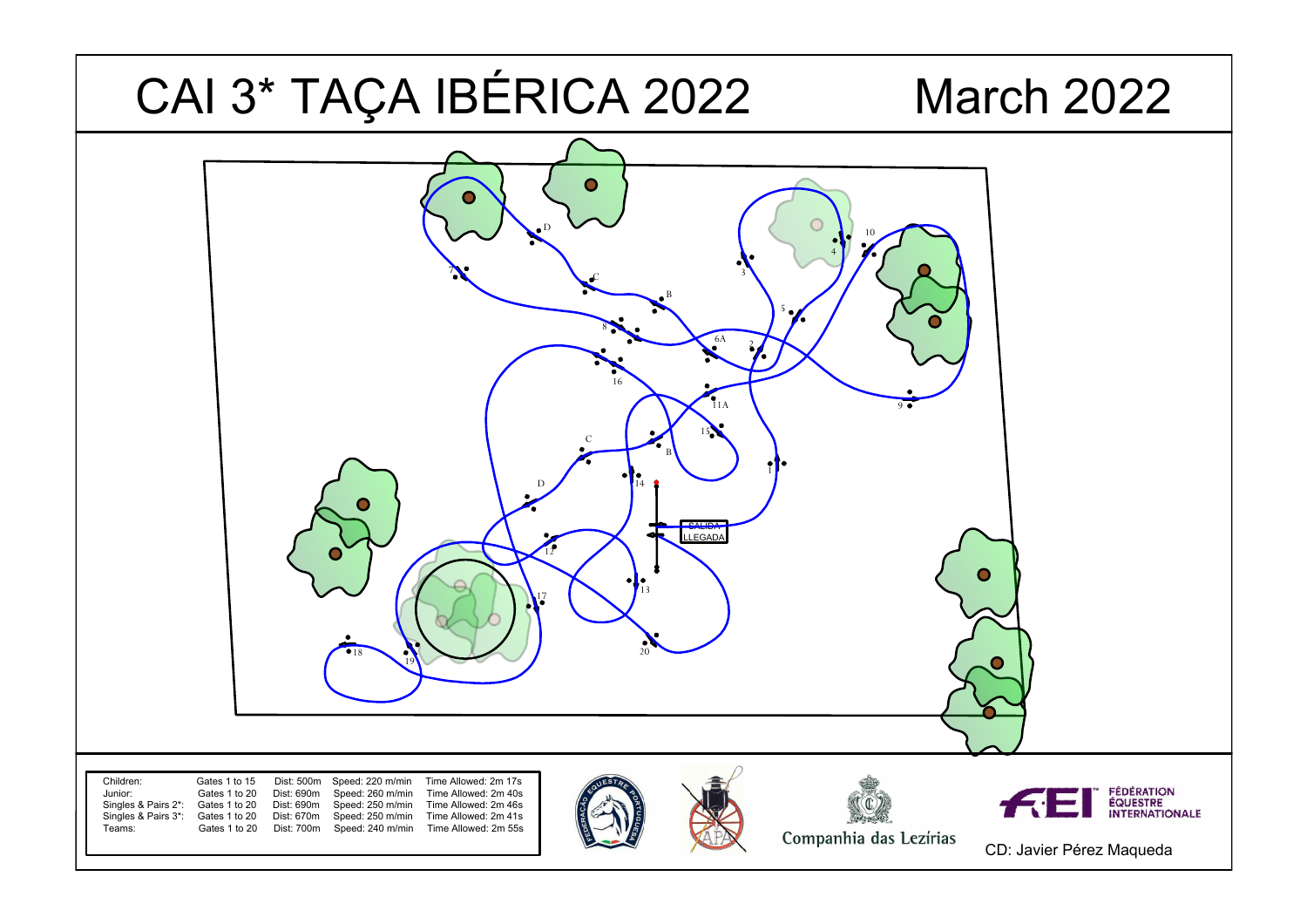